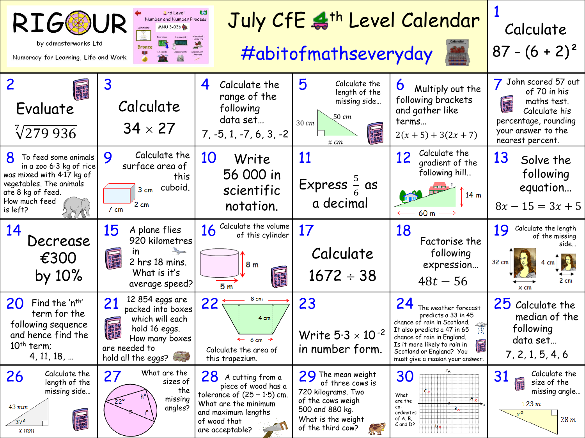| <b>A</b> rd Level<br>July CfE & <sup>th</sup> Level Calendar<br><b>RIG®</b><br>Number and Number Process<br><b>MNU 3-03b</b><br>by cdmasterworks Ltd<br>退<br>開手<br>#abitofmathseveryday<br>Numeracy for Learning, Life and Work |                                                                                                                                                          |                                                                                                                                                                    |                                                                                                                                                   |                                                                                                                                                                                                                                                                     | Calculate<br>$87 - (6 + 2)^2$                                                                                                                         |
|---------------------------------------------------------------------------------------------------------------------------------------------------------------------------------------------------------------------------------|----------------------------------------------------------------------------------------------------------------------------------------------------------|--------------------------------------------------------------------------------------------------------------------------------------------------------------------|---------------------------------------------------------------------------------------------------------------------------------------------------|---------------------------------------------------------------------------------------------------------------------------------------------------------------------------------------------------------------------------------------------------------------------|-------------------------------------------------------------------------------------------------------------------------------------------------------|
| $\overline{2}$<br>Evaluate<br>$\sqrt[7]{279936}$                                                                                                                                                                                | 3<br>Calculate<br>$34 \times 27$                                                                                                                         | 4<br>Calculate the<br>range of the<br>following<br>data set<br>$7, -5, 1, -7, 6, 3, -2$                                                                            | 5<br>Calculate the<br>length of the<br>missing side<br>50 cm<br>30 cm<br>$x$ $cm$                                                                 | O<br>Multiply out the<br>following brackets<br>and gather like<br>terms<br>$2(x + 5) + 3(2x + 7)$                                                                                                                                                                   | John scored 57 out<br>of 70 in his<br><b>Dealer</b><br>maths test.<br>Calculate his<br>percentage, rounding<br>your answer to the<br>nearest percent. |
| 8<br>To feed some animals<br>in a zoo 6.3 kg of rice<br>was mixed with 4.17 kg of<br>vegetables. The animals<br>ate 8 kg of feed.<br>How much feed<br>is left?                                                                  | Calculate the<br>9<br>surface area of<br>this<br>$3 cm$ cuboid.<br>2 cm<br>7 cm                                                                          | 10<br>Write<br>56 000 in<br>scientific<br>notation.                                                                                                                | 11<br>Express $\frac{5}{6}$ as<br>a decimal                                                                                                       | Calculate the<br>12<br>gradient of the<br>following hill<br>14 <sub>m</sub><br>60 m                                                                                                                                                                                 | 13<br>Solve the<br>following<br>equation<br>$8x - 15 = 3x + 5$                                                                                        |
| 14<br>Decrease<br>€300<br>by 10%                                                                                                                                                                                                | 15<br>A plane flies<br>920 kilometres<br>$\mathsf{I}$<br><b>Read</b><br>2 hrs 18 mins.<br>What is it's<br>average speed?                                 | Calculate the volume<br>16<br>of this cylinder<br>8 m<br><b>Base</b><br>5 <sub>m</sub>                                                                             | 17<br>Calculate<br>$1672 \div 38$                                                                                                                 | 18<br>Factorise the<br>following<br>expression<br>$48t - 56$                                                                                                                                                                                                        | 19<br>Calculate the length<br>of the missing<br>side<br>32 cm<br>$2 \text{ cm}$<br>$\times$ cm                                                        |
| 20<br>Find the 'n <sup>th'</sup><br>term for the<br>following sequence<br>and hence find the<br>$10th$ term;<br>4, 11, 18,                                                                                                      | 12 854 eggs are<br>21<br>packed into boxes<br>which will each<br><b>Deaser</b><br>hold 16 eggs.<br>How many boxes<br>are needed to<br>hold all the eggs? | 8 cm<br>22<br>4 cm<br>$\leftarrow$ 6 cm $\rightarrow$<br>Calculate the area of<br>this trapezium.                                                                  | 23<br>Write $5.3 \times 10^{-2}$<br>in number form.                                                                                               | 24<br>The weather forecast<br>predicts a 33 in 45<br>chance of rain in Scotland.<br>$\frac{1}{2}$<br>It also predicts a 47 in 65<br>H.<br>chance of rain in England.<br>Is it more likely to rain in<br>Scotland or England? You<br>must give a reason your answer. | 25 Calculate the<br>median of the<br>following<br>data set<br>7, 2, 1, 5, 4, 6                                                                        |
| Calculate the<br>26<br>length of the<br>missing side<br>$43 \, mm$<br><b>Dealer</b><br>37°<br>$x$ mm                                                                                                                            | What are the<br>27<br>sizes of<br>the<br>missing<br>$22^\circ$<br>angles?                                                                                | 28<br>A cutting from a<br>piece of wood has a<br>tolerance of $(25 \pm 1.5)$ cm.<br>What are the minimum<br>and maximum lengths<br>of wood that<br>are acceptable? | $29$ The mean weight<br>of three cows is<br>720 kilograms. Two<br>of the cows weigh<br>500 and 880 kg.<br>What is the weight<br>of the third cow? | 30<br>$c_\times$<br>What<br>$A_{x}$<br>are the<br>co-<br>B.<br>ordinates<br>of A, B,<br>$C$ and D?<br>b,                                                                                                                                                            | Calculate the<br>31<br>size of the<br><b>THE REAL</b><br>missing angle<br>123m<br>$x^{\mathbf{0}}$<br>28 <sub>m</sub>                                 |